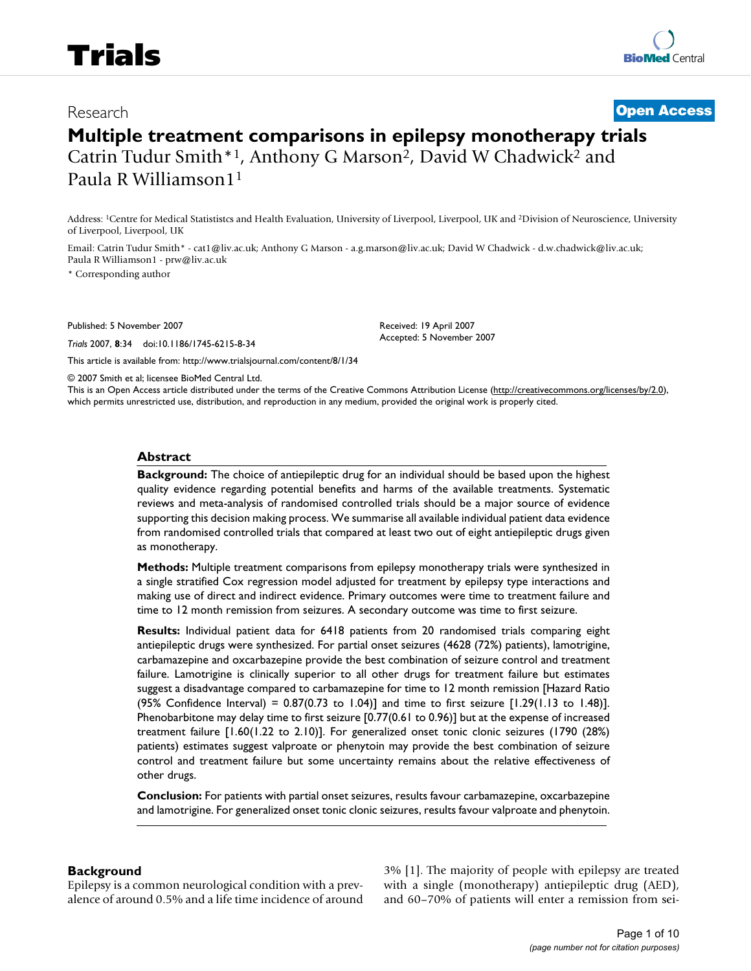# Research **[Open Access](http://www.biomedcentral.com/info/about/charter/) Multiple treatment comparisons in epilepsy monotherapy trials** Catrin Tudur Smith\*1, Anthony G Marson2, David W Chadwick2 and Paula R Williamson11

Address: 1Centre for Medical Statististcs and Health Evaluation, University of Liverpool, Liverpool, UK and 2Division of Neuroscience, University of Liverpool, Liverpool, UK

Email: Catrin Tudur Smith\* - cat1@liv.ac.uk; Anthony G Marson - a.g.marson@liv.ac.uk; David W Chadwick - d.w.chadwick@liv.ac.uk; Paula R Williamson1 - prw@liv.ac.uk

\* Corresponding author

Published: 5 November 2007

*Trials* 2007, **8**:34 doi:10.1186/1745-6215-8-34

[This article is available from: http://www.trialsjournal.com/content/8/1/34](http://www.trialsjournal.com/content/8/1/34)

© 2007 Smith et al; licensee BioMed Central Ltd.

This is an Open Access article distributed under the terms of the Creative Commons Attribution License [\(http://creativecommons.org/licenses/by/2.0\)](http://creativecommons.org/licenses/by/2.0), which permits unrestricted use, distribution, and reproduction in any medium, provided the original work is properly cited.

Received: 19 April 2007 Accepted: 5 November 2007

#### **Abstract**

**Background:** The choice of antiepileptic drug for an individual should be based upon the highest quality evidence regarding potential benefits and harms of the available treatments. Systematic reviews and meta-analysis of randomised controlled trials should be a major source of evidence supporting this decision making process. We summarise all available individual patient data evidence from randomised controlled trials that compared at least two out of eight antiepileptic drugs given as monotherapy.

**Methods:** Multiple treatment comparisons from epilepsy monotherapy trials were synthesized in a single stratified Cox regression model adjusted for treatment by epilepsy type interactions and making use of direct and indirect evidence. Primary outcomes were time to treatment failure and time to 12 month remission from seizures. A secondary outcome was time to first seizure.

**Results:** Individual patient data for 6418 patients from 20 randomised trials comparing eight antiepileptic drugs were synthesized. For partial onset seizures (4628 (72%) patients), lamotrigine, carbamazepine and oxcarbazepine provide the best combination of seizure control and treatment failure. Lamotrigine is clinically superior to all other drugs for treatment failure but estimates suggest a disadvantage compared to carbamazepine for time to 12 month remission [Hazard Ratio (95% Confidence Interval) =  $0.87(0.73 \text{ to } 1.04)$ ] and time to first seizure  $[1.29(1.13 \text{ to } 1.48)]$ . Phenobarbitone may delay time to first seizure [0.77(0.61 to 0.96)] but at the expense of increased treatment failure [1.60(1.22 to 2.10)]. For generalized onset tonic clonic seizures (1790 (28%) patients) estimates suggest valproate or phenytoin may provide the best combination of seizure control and treatment failure but some uncertainty remains about the relative effectiveness of other drugs.

**Conclusion:** For patients with partial onset seizures, results favour carbamazepine, oxcarbazepine and lamotrigine. For generalized onset tonic clonic seizures, results favour valproate and phenytoin.

## **Background**

Epilepsy is a common neurological condition with a prevalence of around 0.5% and a life time incidence of around 3% [1]. The majority of people with epilepsy are treated with a single (monotherapy) antiepileptic drug (AED), and 60–70% of patients will enter a remission from sei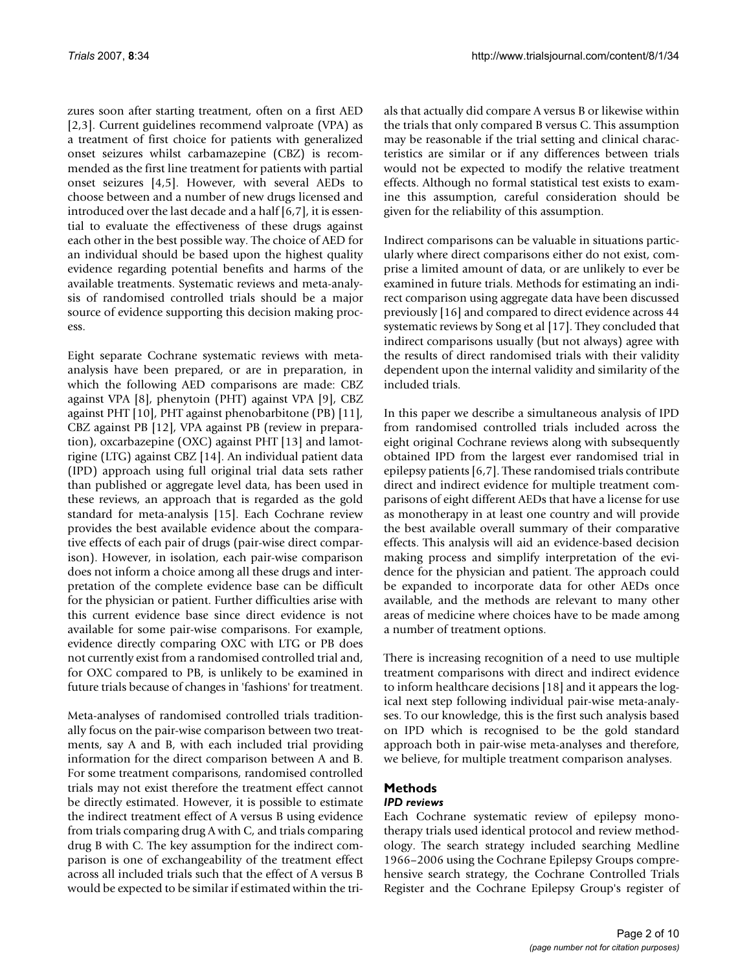zures soon after starting treatment, often on a first AED [2,3]. Current guidelines recommend valproate (VPA) as a treatment of first choice for patients with generalized onset seizures whilst carbamazepine (CBZ) is recommended as the first line treatment for patients with partial onset seizures [4,5]. However, with several AEDs to choose between and a number of new drugs licensed and introduced over the last decade and a half [6,7], it is essential to evaluate the effectiveness of these drugs against each other in the best possible way. The choice of AED for an individual should be based upon the highest quality evidence regarding potential benefits and harms of the available treatments. Systematic reviews and meta-analysis of randomised controlled trials should be a major source of evidence supporting this decision making process.

Eight separate Cochrane systematic reviews with metaanalysis have been prepared, or are in preparation, in which the following AED comparisons are made: CBZ against VPA [8], phenytoin (PHT) against VPA [9], CBZ against PHT [10], PHT against phenobarbitone (PB) [11], CBZ against PB [12], VPA against PB (review in preparation), oxcarbazepine (OXC) against PHT [13] and lamotrigine (LTG) against CBZ [14]. An individual patient data (IPD) approach using full original trial data sets rather than published or aggregate level data, has been used in these reviews, an approach that is regarded as the gold standard for meta-analysis [15]. Each Cochrane review provides the best available evidence about the comparative effects of each pair of drugs (pair-wise direct comparison). However, in isolation, each pair-wise comparison does not inform a choice among all these drugs and interpretation of the complete evidence base can be difficult for the physician or patient. Further difficulties arise with this current evidence base since direct evidence is not available for some pair-wise comparisons. For example, evidence directly comparing OXC with LTG or PB does not currently exist from a randomised controlled trial and, for OXC compared to PB, is unlikely to be examined in future trials because of changes in 'fashions' for treatment.

Meta-analyses of randomised controlled trials traditionally focus on the pair-wise comparison between two treatments, say A and B, with each included trial providing information for the direct comparison between A and B. For some treatment comparisons, randomised controlled trials may not exist therefore the treatment effect cannot be directly estimated. However, it is possible to estimate the indirect treatment effect of A versus B using evidence from trials comparing drug A with C, and trials comparing drug B with C. The key assumption for the indirect comparison is one of exchangeability of the treatment effect across all included trials such that the effect of A versus B would be expected to be similar if estimated within the trials that actually did compare A versus B or likewise within the trials that only compared B versus C. This assumption may be reasonable if the trial setting and clinical characteristics are similar or if any differences between trials would not be expected to modify the relative treatment effects. Although no formal statistical test exists to examine this assumption, careful consideration should be given for the reliability of this assumption.

Indirect comparisons can be valuable in situations particularly where direct comparisons either do not exist, comprise a limited amount of data, or are unlikely to ever be examined in future trials. Methods for estimating an indirect comparison using aggregate data have been discussed previously [16] and compared to direct evidence across 44 systematic reviews by Song et al [17]. They concluded that indirect comparisons usually (but not always) agree with the results of direct randomised trials with their validity dependent upon the internal validity and similarity of the included trials.

In this paper we describe a simultaneous analysis of IPD from randomised controlled trials included across the eight original Cochrane reviews along with subsequently obtained IPD from the largest ever randomised trial in epilepsy patients [6,7]. These randomised trials contribute direct and indirect evidence for multiple treatment comparisons of eight different AEDs that have a license for use as monotherapy in at least one country and will provide the best available overall summary of their comparative effects. This analysis will aid an evidence-based decision making process and simplify interpretation of the evidence for the physician and patient. The approach could be expanded to incorporate data for other AEDs once available, and the methods are relevant to many other areas of medicine where choices have to be made among a number of treatment options.

There is increasing recognition of a need to use multiple treatment comparisons with direct and indirect evidence to inform healthcare decisions [18] and it appears the logical next step following individual pair-wise meta-analyses. To our knowledge, this is the first such analysis based on IPD which is recognised to be the gold standard approach both in pair-wise meta-analyses and therefore, we believe, for multiple treatment comparison analyses.

## **Methods**

# *IPD reviews*

Each Cochrane systematic review of epilepsy monotherapy trials used identical protocol and review methodology. The search strategy included searching Medline 1966–2006 using the Cochrane Epilepsy Groups comprehensive search strategy, the Cochrane Controlled Trials Register and the Cochrane Epilepsy Group's register of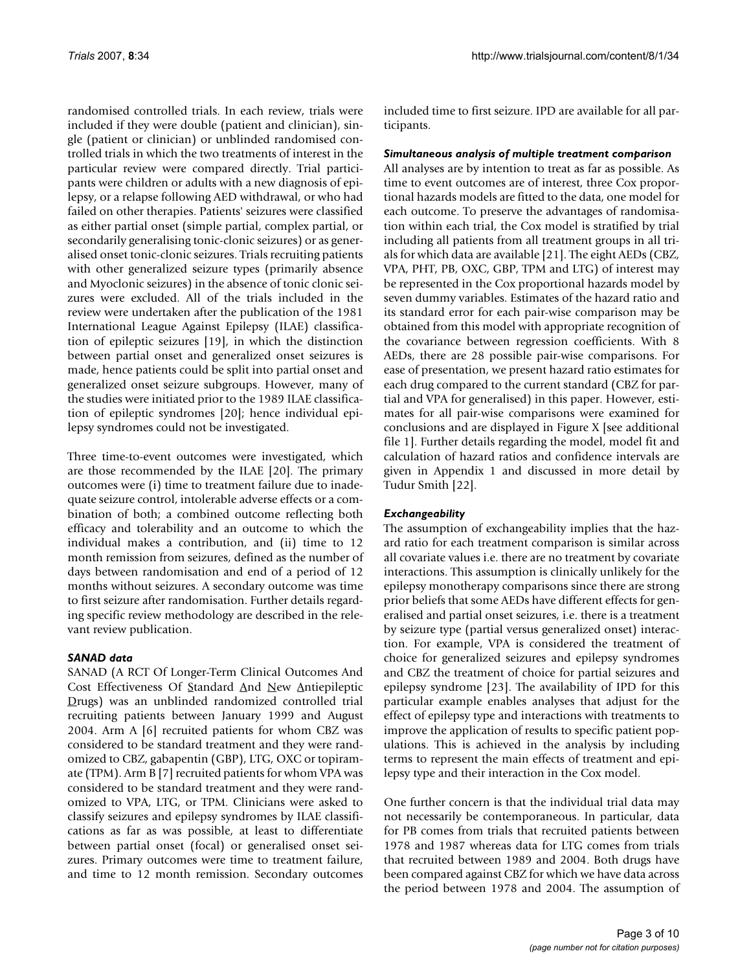randomised controlled trials. In each review, trials were included if they were double (patient and clinician), single (patient or clinician) or unblinded randomised controlled trials in which the two treatments of interest in the particular review were compared directly. Trial participants were children or adults with a new diagnosis of epilepsy, or a relapse following AED withdrawal, or who had failed on other therapies. Patients' seizures were classified as either partial onset (simple partial, complex partial, or secondarily generalising tonic-clonic seizures) or as generalised onset tonic-clonic seizures. Trials recruiting patients with other generalized seizure types (primarily absence and Myoclonic seizures) in the absence of tonic clonic seizures were excluded. All of the trials included in the review were undertaken after the publication of the 1981 International League Against Epilepsy (ILAE) classification of epileptic seizures [19], in which the distinction between partial onset and generalized onset seizures is made, hence patients could be split into partial onset and generalized onset seizure subgroups. However, many of the studies were initiated prior to the 1989 ILAE classification of epileptic syndromes [20]; hence individual epilepsy syndromes could not be investigated.

Three time-to-event outcomes were investigated, which are those recommended by the ILAE [20]. The primary outcomes were (i) time to treatment failure due to inadequate seizure control, intolerable adverse effects or a combination of both; a combined outcome reflecting both efficacy and tolerability and an outcome to which the individual makes a contribution, and (ii) time to 12 month remission from seizures, defined as the number of days between randomisation and end of a period of 12 months without seizures. A secondary outcome was time to first seizure after randomisation. Further details regarding specific review methodology are described in the relevant review publication.

## *SANAD data*

SANAD (A RCT Of Longer-Term Clinical Outcomes And Cost Effectiveness Of Standard And New Antiepileptic Drugs) was an unblinded randomized controlled trial recruiting patients between January 1999 and August 2004. Arm A [6] recruited patients for whom CBZ was considered to be standard treatment and they were randomized to CBZ, gabapentin (GBP), LTG, OXC or topiramate (TPM). Arm B [7] recruited patients for whom VPA was considered to be standard treatment and they were randomized to VPA, LTG, or TPM. Clinicians were asked to classify seizures and epilepsy syndromes by ILAE classifications as far as was possible, at least to differentiate between partial onset (focal) or generalised onset seizures. Primary outcomes were time to treatment failure, and time to 12 month remission. Secondary outcomes

included time to first seizure. IPD are available for all participants.

## *Simultaneous analysis of multiple treatment comparison*

All analyses are by intention to treat as far as possible. As time to event outcomes are of interest, three Cox proportional hazards models are fitted to the data, one model for each outcome. To preserve the advantages of randomisation within each trial, the Cox model is stratified by trial including all patients from all treatment groups in all trials for which data are available [21]. The eight AEDs (CBZ, VPA, PHT, PB, OXC, GBP, TPM and LTG) of interest may be represented in the Cox proportional hazards model by seven dummy variables. Estimates of the hazard ratio and its standard error for each pair-wise comparison may be obtained from this model with appropriate recognition of the covariance between regression coefficients. With 8 AEDs, there are 28 possible pair-wise comparisons. For ease of presentation, we present hazard ratio estimates for each drug compared to the current standard (CBZ for partial and VPA for generalised) in this paper. However, estimates for all pair-wise comparisons were examined for conclusions and are displayed in Figure X [see additional file 1]. Further details regarding the model, model fit and calculation of hazard ratios and confidence intervals are given in Appendix 1 and discussed in more detail by Tudur Smith [22].

## *Exchangeability*

The assumption of exchangeability implies that the hazard ratio for each treatment comparison is similar across all covariate values i.e. there are no treatment by covariate interactions. This assumption is clinically unlikely for the epilepsy monotherapy comparisons since there are strong prior beliefs that some AEDs have different effects for generalised and partial onset seizures, i.e. there is a treatment by seizure type (partial versus generalized onset) interaction. For example, VPA is considered the treatment of choice for generalized seizures and epilepsy syndromes and CBZ the treatment of choice for partial seizures and epilepsy syndrome [23]. The availability of IPD for this particular example enables analyses that adjust for the effect of epilepsy type and interactions with treatments to improve the application of results to specific patient populations. This is achieved in the analysis by including terms to represent the main effects of treatment and epilepsy type and their interaction in the Cox model.

One further concern is that the individual trial data may not necessarily be contemporaneous. In particular, data for PB comes from trials that recruited patients between 1978 and 1987 whereas data for LTG comes from trials that recruited between 1989 and 2004. Both drugs have been compared against CBZ for which we have data across the period between 1978 and 2004. The assumption of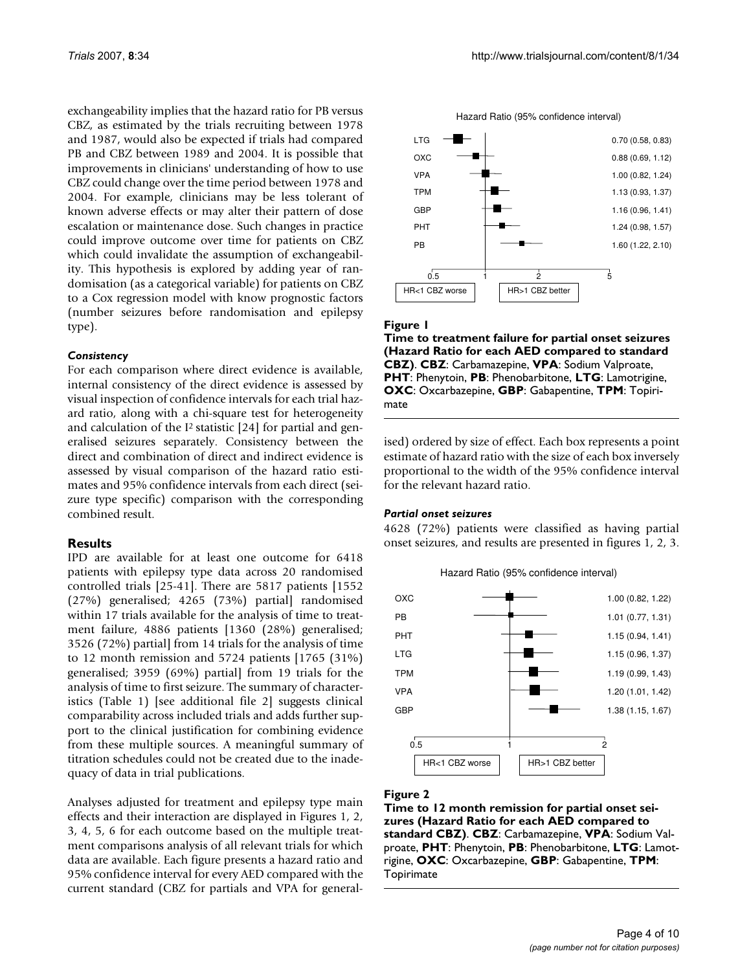exchangeability implies that the hazard ratio for PB versus CBZ, as estimated by the trials recruiting between 1978 and 1987, would also be expected if trials had compared PB and CBZ between 1989 and 2004. It is possible that improvements in clinicians' understanding of how to use CBZ could change over the time period between 1978 and 2004. For example, clinicians may be less tolerant of known adverse effects or may alter their pattern of dose escalation or maintenance dose. Such changes in practice could improve outcome over time for patients on CBZ which could invalidate the assumption of exchangeability. This hypothesis is explored by adding year of randomisation (as a categorical variable) for patients on CBZ to a Cox regression model with know prognostic factors (number seizures before randomisation and epilepsy type).

## *Consistency*

For each comparison where direct evidence is available, internal consistency of the direct evidence is assessed by visual inspection of confidence intervals for each trial hazard ratio, along with a chi-square test for heterogeneity and calculation of the  $I^2$  statistic [24] for partial and generalised seizures separately. Consistency between the direct and combination of direct and indirect evidence is assessed by visual comparison of the hazard ratio estimates and 95% confidence intervals from each direct (seizure type specific) comparison with the corresponding combined result.

#### **Results**

IPD are available for at least one outcome for 6418 patients with epilepsy type data across 20 randomised controlled trials [25-41]. There are 5817 patients [1552 (27%) generalised; 4265 (73%) partial] randomised within 17 trials available for the analysis of time to treatment failure, 4886 patients [1360 (28%) generalised; 3526 (72%) partial] from 14 trials for the analysis of time to 12 month remission and 5724 patients [1765 (31%) generalised; 3959 (69%) partial] from 19 trials for the analysis of time to first seizure. The summary of characteristics (Table 1) [see additional file 2] suggests clinical comparability across included trials and adds further support to the clinical justification for combining evidence from these multiple sources. A meaningful summary of titration schedules could not be created due to the inadequacy of data in trial publications.

Analyses adjusted for treatment and epilepsy type main effects and their interaction are displayed in Figures 1, 2, 3, 4, 5, 6 for each outcome based on the multiple treatment comparisons analysis of all relevant trials for which data are available. Each figure presents a hazard ratio and 95% confidence interval for every AED compared with the current standard (CBZ for partials and VPA for general-

0.5 1 2 5 PB 1.60 (1.22, 2.10) PHT 1.24 (0.98, 1.57) GBP 1.16 (0.96, 1.41) TPM  $\leftarrow$   $\leftarrow$  1.13 (0.93, 1.37)  $VPA$  1.00 (0.82, 1.24)  $\overline{OXC}$   $\overline{O(0.69, 1.12)}$ LTG 0.70 (0.58, 0.83) HR<1 CBZ worse | HR>1 CBZ better

Hazard Ratio (95% confidence interval)

## Figure 1

**Time to treatment failure for partial onset seizures (Hazard Ratio for each AED compared to standard CBZ)**. **CBZ**: Carbamazepine, **VPA**: Sodium Valproate, **PHT**: Phenytoin, **PB**: Phenobarbitone, **LTG**: Lamotrigine, **OXC**: Oxcarbazepine, **GBP**: Gabapentine, **TPM**: Topirimate

ised) ordered by size of effect. Each box represents a point estimate of hazard ratio with the size of each box inversely proportional to the width of the 95% confidence interval for the relevant hazard ratio.

#### *Partial onset seizures*

4628 (72%) patients were classified as having partial onset seizures, and results are presented in figures 1, 2, 3.

Hazard Ratio (95% confidence interval)



## Figure 2

**Time to 12 month remission for partial onset seizures (Hazard Ratio for each AED compared to standard CBZ)**. **CBZ**: Carbamazepine, **VPA**: Sodium Valproate, **PHT**: Phenytoin, **PB**: Phenobarbitone, **LTG**: Lamotrigine, **OXC**: Oxcarbazepine, **GBP**: Gabapentine, **TPM**: **Topirimate**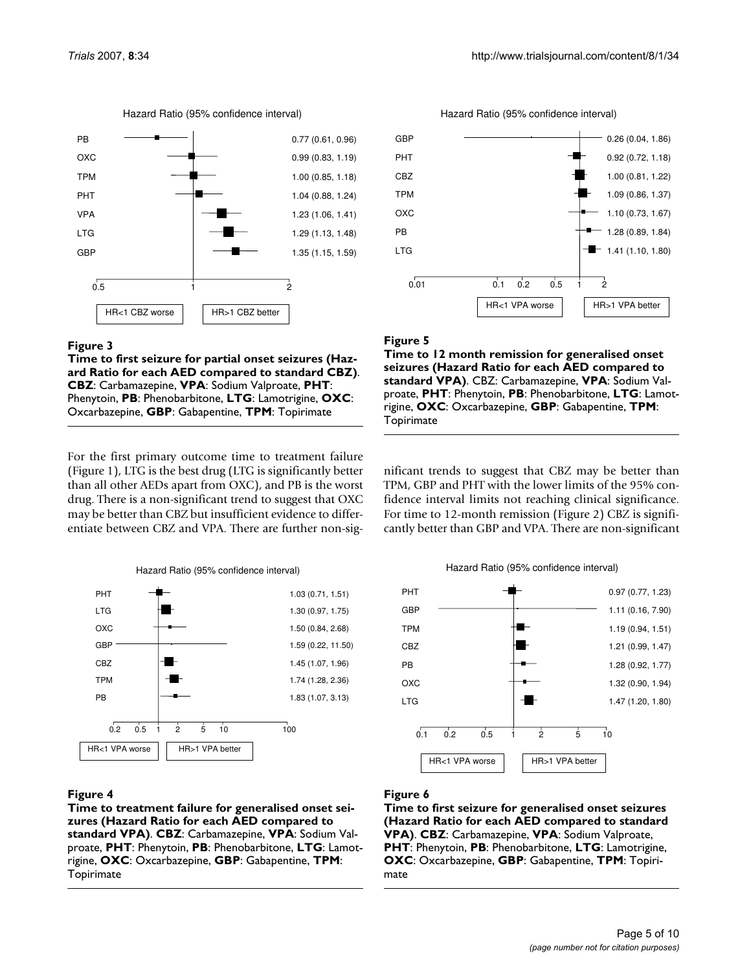

#### Hazard Ratio (95% confidence interval)

#### Figure 3

**Time to first seizure for partial onset seizures (Hazard Ratio for each AED compared to standard CBZ)**. **CBZ**: Carbamazepine, **VPA**: Sodium Valproate, **PHT**: Phenytoin, **PB**: Phenobarbitone, **LTG**: Lamotrigine, **OXC**: Oxcarbazepine, **GBP**: Gabapentine, **TPM**: Topirimate

For the first primary outcome time to treatment failure (Figure 1), LTG is the best drug (LTG is significantly better than all other AEDs apart from OXC), and PB is the worst drug. There is a non-significant trend to suggest that OXC may be better than CBZ but insufficient evidence to differentiate between CBZ and VPA. There are further non-sig-



#### Figure 4

**Time to treatment failure for generalised onset seizures (Hazard Ratio for each AED compared to standard VPA)**. **CBZ**: Carbamazepine, **VPA**: Sodium Valproate, **PHT**: Phenytoin, **PB**: Phenobarbitone, **LTG**: Lamotrigine, **OXC**: Oxcarbazepine, **GBP**: Gabapentine, **TPM**: **Topirimate** 



#### Figure 5

**Time to 12 month remission for generalised onset seizures (Hazard Ratio for each AED compared to standard VPA)**. CBZ: Carbamazepine, **VPA**: Sodium Valproate, **PHT**: Phenytoin, **PB**: Phenobarbitone, **LTG**: Lamotrigine, **OXC**: Oxcarbazepine, **GBP**: Gabapentine, **TPM**: **Topirimate** 

nificant trends to suggest that CBZ may be better than TPM, GBP and PHT with the lower limits of the 95% confidence interval limits not reaching clinical significance. For time to 12-month remission (Figure 2) CBZ is significantly better than GBP and VPA. There are non-significant





#### Figure 6

**Time to first seizure for generalised onset seizures (Hazard Ratio for each AED compared to standard VPA)**. **CBZ**: Carbamazepine, **VPA**: Sodium Valproate, **PHT**: Phenytoin, **PB**: Phenobarbitone, **LTG**: Lamotrigine, **OXC**: Oxcarbazepine, **GBP**: Gabapentine, **TPM**: Topirimate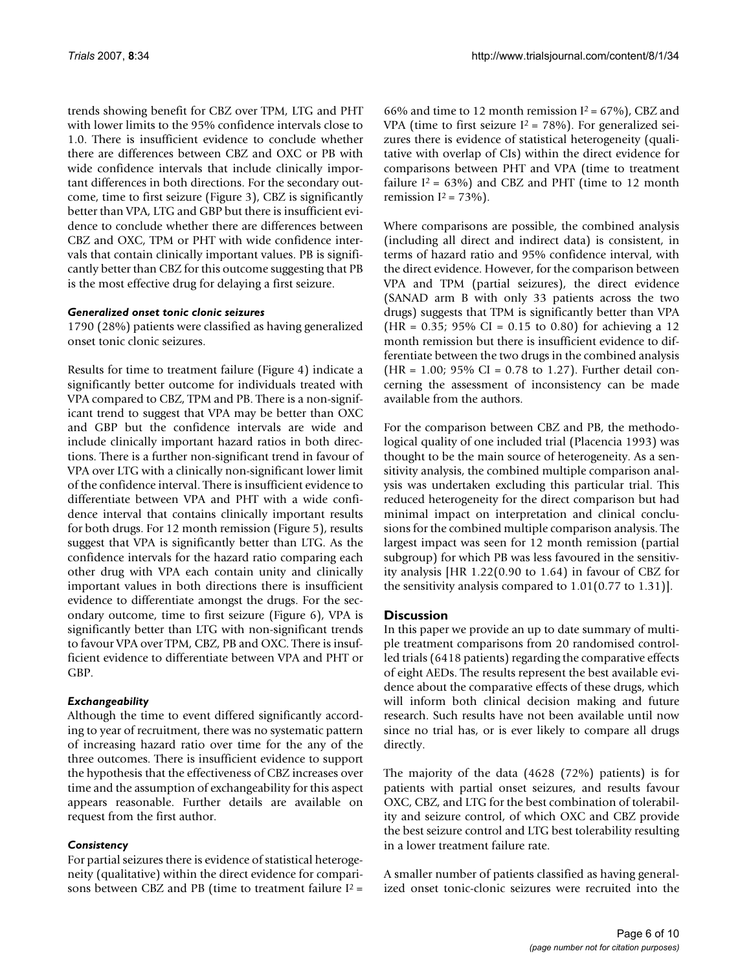trends showing benefit for CBZ over TPM, LTG and PHT with lower limits to the 95% confidence intervals close to 1.0. There is insufficient evidence to conclude whether there are differences between CBZ and OXC or PB with wide confidence intervals that include clinically important differences in both directions. For the secondary outcome, time to first seizure (Figure 3), CBZ is significantly better than VPA, LTG and GBP but there is insufficient evidence to conclude whether there are differences between CBZ and OXC, TPM or PHT with wide confidence intervals that contain clinically important values. PB is significantly better than CBZ for this outcome suggesting that PB is the most effective drug for delaying a first seizure.

#### *Generalized onset tonic clonic seizures*

1790 (28%) patients were classified as having generalized onset tonic clonic seizures.

Results for time to treatment failure (Figure 4) indicate a significantly better outcome for individuals treated with VPA compared to CBZ, TPM and PB. There is a non-significant trend to suggest that VPA may be better than OXC and GBP but the confidence intervals are wide and include clinically important hazard ratios in both directions. There is a further non-significant trend in favour of VPA over LTG with a clinically non-significant lower limit of the confidence interval. There is insufficient evidence to differentiate between VPA and PHT with a wide confidence interval that contains clinically important results for both drugs. For 12 month remission (Figure 5), results suggest that VPA is significantly better than LTG. As the confidence intervals for the hazard ratio comparing each other drug with VPA each contain unity and clinically important values in both directions there is insufficient evidence to differentiate amongst the drugs. For the secondary outcome, time to first seizure (Figure 6), VPA is significantly better than LTG with non-significant trends to favour VPA over TPM, CBZ, PB and OXC. There is insufficient evidence to differentiate between VPA and PHT or GBP.

#### *Exchangeability*

Although the time to event differed significantly according to year of recruitment, there was no systematic pattern of increasing hazard ratio over time for the any of the three outcomes. There is insufficient evidence to support the hypothesis that the effectiveness of CBZ increases over time and the assumption of exchangeability for this aspect appears reasonable. Further details are available on request from the first author.

## *Consistency*

For partial seizures there is evidence of statistical heterogeneity (qualitative) within the direct evidence for comparisons between CBZ and PB (time to treatment failure  $I^2$  =

66% and time to 12 month remission  $I^2 = 67\%$ ), CBZ and VPA (time to first seizure  $I^2 = 78\%$ ). For generalized seizures there is evidence of statistical heterogeneity (qualitative with overlap of CIs) within the direct evidence for comparisons between PHT and VPA (time to treatment failure  $I^2 = 63\%$ ) and CBZ and PHT (time to 12 month remission  $I^2 = 73\%$ ).

Where comparisons are possible, the combined analysis (including all direct and indirect data) is consistent, in terms of hazard ratio and 95% confidence interval, with the direct evidence. However, for the comparison between VPA and TPM (partial seizures), the direct evidence (SANAD arm B with only 33 patients across the two drugs) suggests that TPM is significantly better than VPA  $(HR = 0.35; 95\% \text{ CI} = 0.15 \text{ to } 0.80) \text{ for achieving a 12}$ month remission but there is insufficient evidence to differentiate between the two drugs in the combined analysis (HR =  $1.00$ ;  $95\%$  CI = 0.78 to 1.27). Further detail concerning the assessment of inconsistency can be made available from the authors.

For the comparison between CBZ and PB, the methodological quality of one included trial (Placencia 1993) was thought to be the main source of heterogeneity. As a sensitivity analysis, the combined multiple comparison analysis was undertaken excluding this particular trial. This reduced heterogeneity for the direct comparison but had minimal impact on interpretation and clinical conclusions for the combined multiple comparison analysis. The largest impact was seen for 12 month remission (partial subgroup) for which PB was less favoured in the sensitivity analysis [HR 1.22(0.90 to 1.64) in favour of CBZ for the sensitivity analysis compared to 1.01(0.77 to 1.31)].

#### **Discussion**

In this paper we provide an up to date summary of multiple treatment comparisons from 20 randomised controlled trials (6418 patients) regarding the comparative effects of eight AEDs. The results represent the best available evidence about the comparative effects of these drugs, which will inform both clinical decision making and future research. Such results have not been available until now since no trial has, or is ever likely to compare all drugs directly.

The majority of the data (4628 (72%) patients) is for patients with partial onset seizures, and results favour OXC, CBZ, and LTG for the best combination of tolerability and seizure control, of which OXC and CBZ provide the best seizure control and LTG best tolerability resulting in a lower treatment failure rate.

A smaller number of patients classified as having generalized onset tonic-clonic seizures were recruited into the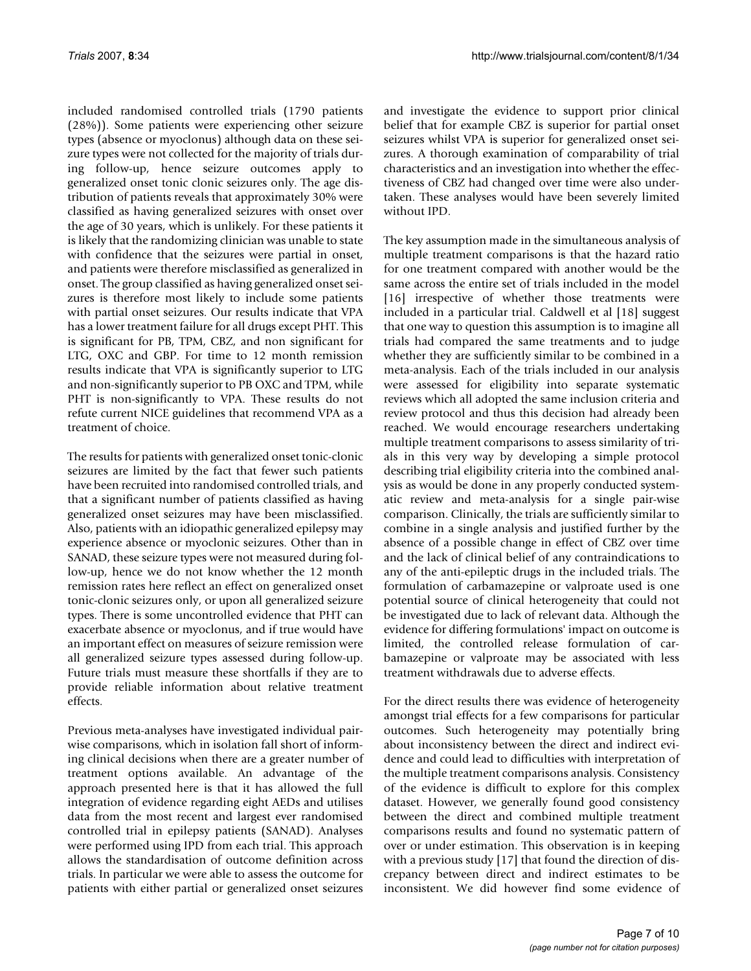included randomised controlled trials (1790 patients (28%)). Some patients were experiencing other seizure types (absence or myoclonus) although data on these seizure types were not collected for the majority of trials during follow-up, hence seizure outcomes apply to generalized onset tonic clonic seizures only. The age distribution of patients reveals that approximately 30% were classified as having generalized seizures with onset over the age of 30 years, which is unlikely. For these patients it is likely that the randomizing clinician was unable to state with confidence that the seizures were partial in onset, and patients were therefore misclassified as generalized in onset. The group classified as having generalized onset seizures is therefore most likely to include some patients with partial onset seizures. Our results indicate that VPA has a lower treatment failure for all drugs except PHT. This is significant for PB, TPM, CBZ, and non significant for LTG, OXC and GBP. For time to 12 month remission results indicate that VPA is significantly superior to LTG and non-significantly superior to PB OXC and TPM, while PHT is non-significantly to VPA. These results do not refute current NICE guidelines that recommend VPA as a treatment of choice.

The results for patients with generalized onset tonic-clonic seizures are limited by the fact that fewer such patients have been recruited into randomised controlled trials, and that a significant number of patients classified as having generalized onset seizures may have been misclassified. Also, patients with an idiopathic generalized epilepsy may experience absence or myoclonic seizures. Other than in SANAD, these seizure types were not measured during follow-up, hence we do not know whether the 12 month remission rates here reflect an effect on generalized onset tonic-clonic seizures only, or upon all generalized seizure types. There is some uncontrolled evidence that PHT can exacerbate absence or myoclonus, and if true would have an important effect on measures of seizure remission were all generalized seizure types assessed during follow-up. Future trials must measure these shortfalls if they are to provide reliable information about relative treatment effects.

Previous meta-analyses have investigated individual pairwise comparisons, which in isolation fall short of informing clinical decisions when there are a greater number of treatment options available. An advantage of the approach presented here is that it has allowed the full integration of evidence regarding eight AEDs and utilises data from the most recent and largest ever randomised controlled trial in epilepsy patients (SANAD). Analyses were performed using IPD from each trial. This approach allows the standardisation of outcome definition across trials. In particular we were able to assess the outcome for patients with either partial or generalized onset seizures

and investigate the evidence to support prior clinical belief that for example CBZ is superior for partial onset seizures whilst VPA is superior for generalized onset seizures. A thorough examination of comparability of trial characteristics and an investigation into whether the effectiveness of CBZ had changed over time were also undertaken. These analyses would have been severely limited without IPD.

The key assumption made in the simultaneous analysis of multiple treatment comparisons is that the hazard ratio for one treatment compared with another would be the same across the entire set of trials included in the model [16] irrespective of whether those treatments were included in a particular trial. Caldwell et al [18] suggest that one way to question this assumption is to imagine all trials had compared the same treatments and to judge whether they are sufficiently similar to be combined in a meta-analysis. Each of the trials included in our analysis were assessed for eligibility into separate systematic reviews which all adopted the same inclusion criteria and review protocol and thus this decision had already been reached. We would encourage researchers undertaking multiple treatment comparisons to assess similarity of trials in this very way by developing a simple protocol describing trial eligibility criteria into the combined analysis as would be done in any properly conducted systematic review and meta-analysis for a single pair-wise comparison. Clinically, the trials are sufficiently similar to combine in a single analysis and justified further by the absence of a possible change in effect of CBZ over time and the lack of clinical belief of any contraindications to any of the anti-epileptic drugs in the included trials. The formulation of carbamazepine or valproate used is one potential source of clinical heterogeneity that could not be investigated due to lack of relevant data. Although the evidence for differing formulations' impact on outcome is limited, the controlled release formulation of carbamazepine or valproate may be associated with less treatment withdrawals due to adverse effects.

For the direct results there was evidence of heterogeneity amongst trial effects for a few comparisons for particular outcomes. Such heterogeneity may potentially bring about inconsistency between the direct and indirect evidence and could lead to difficulties with interpretation of the multiple treatment comparisons analysis. Consistency of the evidence is difficult to explore for this complex dataset. However, we generally found good consistency between the direct and combined multiple treatment comparisons results and found no systematic pattern of over or under estimation. This observation is in keeping with a previous study [17] that found the direction of discrepancy between direct and indirect estimates to be inconsistent. We did however find some evidence of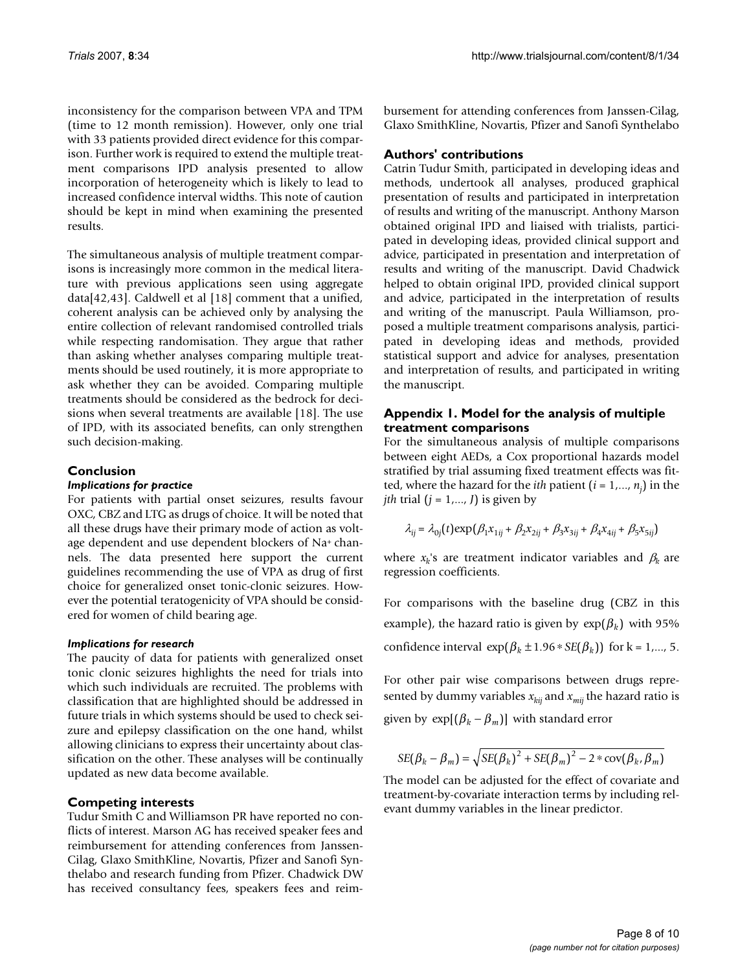inconsistency for the comparison between VPA and TPM (time to 12 month remission). However, only one trial with 33 patients provided direct evidence for this comparison. Further work is required to extend the multiple treatment comparisons IPD analysis presented to allow incorporation of heterogeneity which is likely to lead to increased confidence interval widths. This note of caution should be kept in mind when examining the presented results.

The simultaneous analysis of multiple treatment comparisons is increasingly more common in the medical literature with previous applications seen using aggregate data[42,43]. Caldwell et al [18] comment that a unified, coherent analysis can be achieved only by analysing the entire collection of relevant randomised controlled trials while respecting randomisation. They argue that rather than asking whether analyses comparing multiple treatments should be used routinely, it is more appropriate to ask whether they can be avoided. Comparing multiple treatments should be considered as the bedrock for decisions when several treatments are available [18]. The use of IPD, with its associated benefits, can only strengthen such decision-making.

#### **Conclusion**

#### *Implications for practice*

For patients with partial onset seizures, results favour OXC, CBZ and LTG as drugs of choice. It will be noted that all these drugs have their primary mode of action as voltage dependent and use dependent blockers of Na+ channels. The data presented here support the current guidelines recommending the use of VPA as drug of first choice for generalized onset tonic-clonic seizures. However the potential teratogenicity of VPA should be considered for women of child bearing age.

#### *Implications for research*

The paucity of data for patients with generalized onset tonic clonic seizures highlights the need for trials into which such individuals are recruited. The problems with classification that are highlighted should be addressed in future trials in which systems should be used to check seizure and epilepsy classification on the one hand, whilst allowing clinicians to express their uncertainty about classification on the other. These analyses will be continually updated as new data become available.

#### **Competing interests**

Tudur Smith C and Williamson PR have reported no conflicts of interest. Marson AG has received speaker fees and reimbursement for attending conferences from Janssen-Cilag, Glaxo SmithKline, Novartis, Pfizer and Sanofi Synthelabo and research funding from Pfizer. Chadwick DW has received consultancy fees, speakers fees and reimbursement for attending conferences from Janssen-Cilag, Glaxo SmithKline, Novartis, Pfizer and Sanofi Synthelabo

#### **Authors' contributions**

Catrin Tudur Smith, participated in developing ideas and methods, undertook all analyses, produced graphical presentation of results and participated in interpretation of results and writing of the manuscript. Anthony Marson obtained original IPD and liaised with trialists, participated in developing ideas, provided clinical support and advice, participated in presentation and interpretation of results and writing of the manuscript. David Chadwick helped to obtain original IPD, provided clinical support and advice, participated in the interpretation of results and writing of the manuscript. Paula Williamson, proposed a multiple treatment comparisons analysis, participated in developing ideas and methods, provided statistical support and advice for analyses, presentation and interpretation of results, and participated in writing the manuscript.

## **Appendix 1. Model for the analysis of multiple treatment comparisons**

For the simultaneous analysis of multiple comparisons between eight AEDs, a Cox proportional hazards model stratified by trial assuming fixed treatment effects was fitted, where the hazard for the *ith* patient (*i* = 1,..., *nj* ) in the *jth* trial  $(j = 1,..., J)$  is given by

$$
\lambda_{ij} = \lambda_{0j}(t) \exp(\beta_1 x_{1ij} + \beta_2 x_{2ij} + \beta_3 x_{3ij} + \beta_4 x_{4ij} + \beta_5 x_{5ij})
$$

where  $x_k$ 's are treatment indicator variables and  $\beta_k$  are regression coefficients.

For comparisons with the baseline drug (CBZ in this example), the hazard ratio is given by  $\exp(\beta_k)$  with 95% confidence interval  $\exp(\beta_k \pm 1.96 \cdot \text{SE}(\beta_k))$  for k = 1,..., 5.

For other pair wise comparisons between drugs represented by dummy variables  $x_{kij}$  and  $x_{mij}$  the hazard ratio is given by  $\exp[(\beta_k - \beta_m)]$  with standard error

$$
SE(\beta_k - \beta_m) = \sqrt{SE(\beta_k)^2 + SE(\beta_m)^2 - 2 * cov(\beta_k, \beta_m)}
$$

The model can be adjusted for the effect of covariate and treatment-by-covariate interaction terms by including relevant dummy variables in the linear predictor.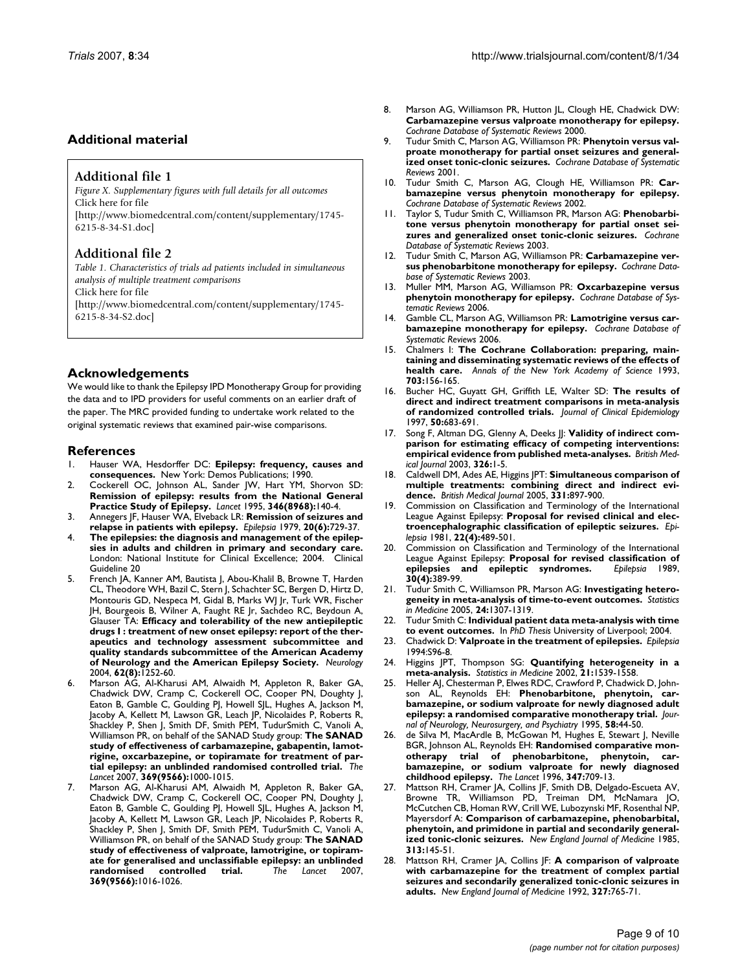## **Additional material**

## **Additional file 1**

*Figure X. Supplementary figures with full details for all outcomes* Click here for file

[\[http://www.biomedcentral.com/content/supplementary/1745-](http://www.biomedcentral.com/content/supplementary/1745-6215-8-34-S1.doc) 6215-8-34-S1.doc]

## **Additional file 2**

*Table 1. Characteristics of trials ad patients included in simultaneous analysis of multiple treatment comparisons*

Click here for file

[\[http://www.biomedcentral.com/content/supplementary/1745-](http://www.biomedcentral.com/content/supplementary/1745-6215-8-34-S2.doc) 6215-8-34-S2.doc]

## **Acknowledgements**

We would like to thank the Epilepsy IPD Monotherapy Group for providing the data and to IPD providers for useful comments on an earlier draft of the paper. The MRC provided funding to undertake work related to the original systematic reviews that examined pair-wise comparisons.

#### **References**

- Hauser WA, Hesdorffer DC: Epilepsy: frequency, causes and **consequences.** New York: Demos Publications; 1990.
- Cockerell OC, Johnson AL, Sander JW, Hart YM, Shorvon SD: **[Remission of epilepsy: results from the National General](http://www.ncbi.nlm.nih.gov/entrez/query.fcgi?cmd=Retrieve&db=PubMed&dopt=Abstract&list_uids=7603228) [Practice Study of Epilepsy.](http://www.ncbi.nlm.nih.gov/entrez/query.fcgi?cmd=Retrieve&db=PubMed&dopt=Abstract&list_uids=7603228)** *Lancet* 1995, **346(8968):**140-4.
- 3. Annegers JF, Hauser WA, Elveback LR: **[Remission of seizures and](http://www.ncbi.nlm.nih.gov/entrez/query.fcgi?cmd=Retrieve&db=PubMed&dopt=Abstract&list_uids=499118) [relapse in patients with epilepsy.](http://www.ncbi.nlm.nih.gov/entrez/query.fcgi?cmd=Retrieve&db=PubMed&dopt=Abstract&list_uids=499118)** *Epilepsia* 1979, **20(6):**729-37.
- 4. **The epilepsies: the diagnosis and management of the epilepsies in adults and children in primary and secondary care.** London: National Institute for Clinical Excellence; 2004. Clinical Guideline 20
- 5. French JA, Kanner AM, Bautista J, Abou-Khalil B, Browne T, Harden CL, Theodore WH, Bazil C, Stern J, Schachter SC, Bergen D, Hirtz D, Montouris GD, Nespeca M, Gidal B, Marks WJ Jr, Turk WR, Fischer JH, Bourgeois B, Wilner A, Faught RE Jr, Sachdeo RC, Beydoun A, Glauser TA: **[Efficacy and tolerability of the new antiepileptic](http://www.ncbi.nlm.nih.gov/entrez/query.fcgi?cmd=Retrieve&db=PubMed&dopt=Abstract&list_uids=15111659) drugs I : treatment of new onset epilepsy: report of the ther[apeutics and technology assessment subcommittee and](http://www.ncbi.nlm.nih.gov/entrez/query.fcgi?cmd=Retrieve&db=PubMed&dopt=Abstract&list_uids=15111659) quality standards subcommittee of the American Academy [of Neurology and the American Epilepsy Society.](http://www.ncbi.nlm.nih.gov/entrez/query.fcgi?cmd=Retrieve&db=PubMed&dopt=Abstract&list_uids=15111659)** *Neurology* 2004, **62(8):**1252-60.
- 6. Marson AG, Al-Kharusi AM, Alwaidh M, Appleton R, Baker GA, Chadwick DW, Cramp C, Cockerell OC, Cooper PN, Doughty J, Eaton B, Gamble C, Goulding PJ, Howell SJL, Hughes A, Jackson M, Jacoby A, Kellett M, Lawson GR, Leach JP, Nicolaides P, Roberts R, Shackley P, Shen J, Smith DF, Smith PEM, TudurSmith C, Vanoli A, Williamson PR, on behalf of the SANAD Study group: **The SANAD study of effectiveness of carbamazepine, gabapentin, lamotrigine, oxcarbazepine, or topiramate for treatment of partial epilepsy: an unblinded randomised controlled trial.** *The Lancet* 2007, **369(9566):**1000-1015.
- 7. Marson AG, Al-Kharusi AM, Alwaidh M, Appleton R, Baker GA, Chadwick DW, Cramp C, Cockerell OC, Cooper PN, Doughty J, Eaton B, Gamble C, Goulding PJ, Howell SJL, Hughes A, Jackson M, Jacoby A, Kellett M, Lawson GR, Leach JP, Nicolaides P, Roberts R, Shackley P, Shen J, Smith DF, Smith PEM, TudurSmith C, Vanoli A, Williamson PR, on behalf of the SANAD Study group: **The SANAD study of effectiveness of valproate, lamotrigine, or topiramate for generalised and unclassifiable epilepsy: an unblinded randomised controlled trial.** *The Lancet* 2007, **369(9566):**1016-1026.
- 8. Marson AG, Williamson PR, Hutton JL, Clough HE, Chadwick DW: **Carbamazepine versus valproate monotherapy for epilepsy.** *Cochrane Database of Systematic Reviews* 2000.
- 9. Tudur Smith C, Marson AG, Williamson PR: **Phenytoin versus valproate monotherapy for partial onset seizures and generalized onset tonic-clonic seizures.** *Cochrane Database of Systematic Reviews* 2001.
- 10. Tudur Smith C, Marson AG, Clough HE, Williamson PR: **Carbamazepine versus phenytoin monotherapy for epilepsy.** *Cochrane Database of Systematic Reviews* 2002.
- 11. Taylor S, Tudur Smith C, Williamson PR, Marson AG: **Phenobarbitone versus phenytoin monotherapy for partial onset seizures and generalized onset tonic-clonic seizures.** *Cochrane Database of Systematic Reviews* 2003.
- 12. Tudur Smith C, Marson AG, Williamson PR: **Carbamazepine versus phenobarbitone monotherapy for epilepsy.** *Cochrane Database of Systematic Reviews* 2003.
- 13. Muller MM, Marson AG, Williamson PR: **Oxcarbazepine versus phenytoin monotherapy for epilepsy.** *Cochrane Database of Systematic Reviews* 2006.
- 14. Gamble CL, Marson AG, Williamson PR: **Lamotrigine versus carbamazepine monotherapy for epilepsy.** *Cochrane Database of Systematic Reviews* 2006.
- 15. Chalmers I: **The Cochrane Collaboration: preparing, maintaining and disseminating systematic reviews of the effects of health care.** *Annals of the New York Academy of Science* 1993, **703:**156-165.
- 16. Bucher HC, Guyatt GH, Griffith LE, Walter SD: **[The results of](http://www.ncbi.nlm.nih.gov/entrez/query.fcgi?cmd=Retrieve&db=PubMed&dopt=Abstract&list_uids=9250266) [direct and indirect treatment comparisons in meta-analysis](http://www.ncbi.nlm.nih.gov/entrez/query.fcgi?cmd=Retrieve&db=PubMed&dopt=Abstract&list_uids=9250266) [of randomized controlled trials.](http://www.ncbi.nlm.nih.gov/entrez/query.fcgi?cmd=Retrieve&db=PubMed&dopt=Abstract&list_uids=9250266)** *Journal of Clinical Epidemiology* 1997, **50:**683-691.
- 17. Song F, Altman DG, Glenny A, Deeks JJ: Validity of indirect com**parison for estimating efficacy of competing interventions: empirical evidence from published meta-analyses.** *British Medical Journal* 2003, **326:**1-5.
- 18. Caldwell DM, Ades AE, Higgins JPT: **[Simultaneous comparison of](http://www.ncbi.nlm.nih.gov/entrez/query.fcgi?cmd=Retrieve&db=PubMed&dopt=Abstract&list_uids=16223826) [multiple treatments: combining direct and indirect evi](http://www.ncbi.nlm.nih.gov/entrez/query.fcgi?cmd=Retrieve&db=PubMed&dopt=Abstract&list_uids=16223826)[dence.](http://www.ncbi.nlm.nih.gov/entrez/query.fcgi?cmd=Retrieve&db=PubMed&dopt=Abstract&list_uids=16223826)** *British Medical Journal* 2005, **331:**897-900.
- 19. Commission on Classification and Terminology of the International League Against Epilepsy: **[Proposal for revised clinical and elec](http://www.ncbi.nlm.nih.gov/entrez/query.fcgi?cmd=Retrieve&db=PubMed&dopt=Abstract&list_uids=6790275)[troencephalographic classification of epileptic seizures.](http://www.ncbi.nlm.nih.gov/entrez/query.fcgi?cmd=Retrieve&db=PubMed&dopt=Abstract&list_uids=6790275)** *Epilepsia* 1981, **22(4):**489-501.
- 20. Commission on Classification and Terminology of the International League Against Epilepsy: **[Proposal for revised classification of](http://www.ncbi.nlm.nih.gov/entrez/query.fcgi?cmd=Retrieve&db=PubMed&dopt=Abstract&list_uids=2502382) [epilepsies and epileptic syndromes.](http://www.ncbi.nlm.nih.gov/entrez/query.fcgi?cmd=Retrieve&db=PubMed&dopt=Abstract&list_uids=2502382)** *Epilepsia* 1989, **30(4):**389-99.
- 21. Tudur Smith C, Williamson PR, Marson AG: **[Investigating hetero](http://www.ncbi.nlm.nih.gov/entrez/query.fcgi?cmd=Retrieve&db=PubMed&dopt=Abstract&list_uids=15685717)[geneity in meta-analysis of time-to-event outcomes.](http://www.ncbi.nlm.nih.gov/entrez/query.fcgi?cmd=Retrieve&db=PubMed&dopt=Abstract&list_uids=15685717)** *Statistics in Medicine* 2005, **24:**1307-1319.
- 22. Tudur Smith C: **Individual patient data meta-analysis with time to event outcomes.** In *PhD Thesis* University of Liverpool; 2004.
- 23. Chadwick D: **Valproate in the treatment of epilepsies.** *Epilepsia* 1994:S96-8.
- 24. Higgins JPT, Thompson SG: **[Quantifying heterogeneity in a](http://www.ncbi.nlm.nih.gov/entrez/query.fcgi?cmd=Retrieve&db=PubMed&dopt=Abstract&list_uids=12111919) [meta-analysis.](http://www.ncbi.nlm.nih.gov/entrez/query.fcgi?cmd=Retrieve&db=PubMed&dopt=Abstract&list_uids=12111919)** *Statistics in Medicine* 2002, **21:**1539-1558.
- 25. Heller AJ, Chesterman P, Elwes RDC, Crawford P, Chadwick D, Johnson AL, Reynolds EH: **[Phenobarbitone, phenytoin, car](http://www.ncbi.nlm.nih.gov/entrez/query.fcgi?cmd=Retrieve&db=PubMed&dopt=Abstract&list_uids=7823066)[bamazepine, or sodium valproate for newly diagnosed adult](http://www.ncbi.nlm.nih.gov/entrez/query.fcgi?cmd=Retrieve&db=PubMed&dopt=Abstract&list_uids=7823066) [epilepsy: a randomised comparative monotherapy trial.](http://www.ncbi.nlm.nih.gov/entrez/query.fcgi?cmd=Retrieve&db=PubMed&dopt=Abstract&list_uids=7823066)** *Journal of Neurology, Neurosurgery, and Psychiatry* 1995, **58:**44-50.
- 26. de Silva M, MacArdle B, McGowan M, Hughes E, Stewart J, Neville BGR, Johnson AL, Reynolds EH: **Randomised comparative monotherapy trial of phenobarbitone, phenytoin, carbamazepine, or sodium valproate for newly diagnosed childhood epilepsy.** *The Lancet* 1996, **347:**709-13.
- Mattson RH, Cramer JA, Collins JF, Smith DB, Delgado-Escueta AV, Browne TR, Williamson PD, Treiman DM, McNamara JO, McCutchen CB, Homan RW, Crill WE, Lubozynski MF, Rosenthal NP, Mayersdorf A: **[Comparison of carbamazepine, phenobarbital,](http://www.ncbi.nlm.nih.gov/entrez/query.fcgi?cmd=Retrieve&db=PubMed&dopt=Abstract&list_uids=3925335) [phenytoin, and primidone in partial and secondarily general](http://www.ncbi.nlm.nih.gov/entrez/query.fcgi?cmd=Retrieve&db=PubMed&dopt=Abstract&list_uids=3925335)[ized tonic-clonic seizures.](http://www.ncbi.nlm.nih.gov/entrez/query.fcgi?cmd=Retrieve&db=PubMed&dopt=Abstract&list_uids=3925335)** *New England Journal of Medicine* 1985, **313:**145-51.
- 28. Mattson RH, Cramer JA, Collins JF: **[A comparison of valproate](http://www.ncbi.nlm.nih.gov/entrez/query.fcgi?cmd=Retrieve&db=PubMed&dopt=Abstract&list_uids=1298221) with carbamazepine for the treatment of complex partial [seizures and secondarily generalized tonic-clonic seizures in](http://www.ncbi.nlm.nih.gov/entrez/query.fcgi?cmd=Retrieve&db=PubMed&dopt=Abstract&list_uids=1298221) [adults.](http://www.ncbi.nlm.nih.gov/entrez/query.fcgi?cmd=Retrieve&db=PubMed&dopt=Abstract&list_uids=1298221)** *New England Journal of Medicine* 1992, **327:**765-71.